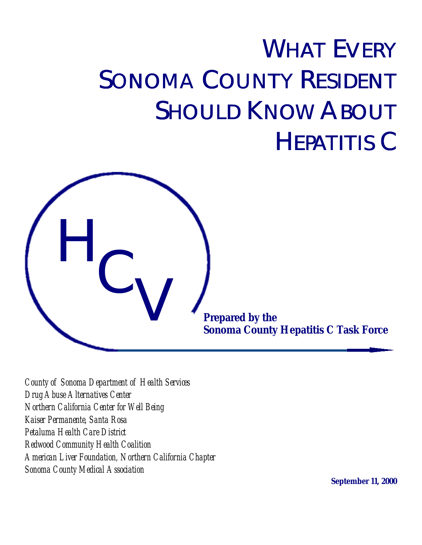# WHAT EVERY SONOMA COUNTY RESIDENT **SHOULD KNOW ABOUT** HEPATITIS C



*County of Sonoma Department of Health Services Drug Abuse Alternatives Center Northern California Center for Well Being Kaiser Permanente, Santa Rosa Petaluma Health Care District Redwood Community Health Coalition American Liver Foundation, Northern California Chapter Sonoma County Medical Association*

**September 11, 2000**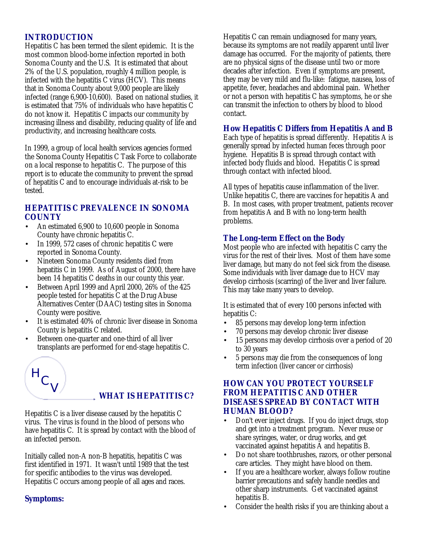# **INTRODUCTION**

Hepatitis C has been termed the silent epidemic. It is the most common blood-borne infection reported in both Sonoma County and the U.S. It is estimated that about 2% of the U.S. population, roughly 4 million people, is infected with the hepatitis C virus (HCV). This means that in Sonoma County about 9,000 people are likely infected (range 6,900-10,600). Based on national studies, it is estimated that 75% of individuals who have hepatitis C do not know it. Hepatitis C impacts our community by increasing illness and disability, reducing quality of life and productivity, and increasing healthcare costs.

In 1999, a group of local health services agencies formed the Sonoma County Hepatitis C Task Force to collaborate on a local response to hepatitis C. The purpose of this report is to educate the community to prevent the spread of hepatitis C and to encourage individuals at-risk to be tested.

# **HEPATITIS C PREVALENCE IN SONOMA COUNTY**

- An estimated 6,900 to 10,600 people in Sonoma County have chronic hepatitis C.
- In 1999, 572 cases of chronic hepatitis C were reported in Sonoma County.
- Nineteen Sonoma County residents died from hepatitis C in 1999. As of August of 2000, there have been 14 hepatitis C deaths in our county this year.
- Between April 1999 and April 2000, 26% of the 425 people tested for hepatitis C at the Drug Abuse Alternatives Center (DAAC) testing sites in Sonoma County were positive.
- It is estimated 40% of chronic liver disease in Sonoma County is hepatitis C related.
- Between one-quarter and one-third of all liver transplants are performed for end-stage hepatitis C.

# H  $\mathsf{C}_{\bigvee}$

# **WHAT IS HEPATITIS C?**

Hepatitis C is a liver disease caused by the hepatitis C virus. The virus is found in the blood of persons who have hepatitis C. It is spread by contact with the blood of an infected person.

Initially called non-A non-B hepatitis, hepatitis C was first identified in 1971. It wasn't until 1989 that the test for specific antibodies to the virus was developed. Hepatitis C occurs among people of all ages and races.

# **Symptoms:**

Hepatitis C can remain undiagnosed for many years, because its symptoms are not readily apparent until liver damage has occurred. For the majority of patients, there are no physical signs of the disease until two or more decades after infection. Even if symptoms are present, they may be very mild and flu-like: fatigue, nausea, loss of appetite, fever, headaches and abdominal pain. Whether or not a person with hepatitis C has symptoms, he or she can transmit the infection to others by blood to blood contact.

#### **How Hepatitis C Differs from Hepatitis A and B**

Each type of hepatitis is spread differently. Hepatitis A is generally spread by infected human feces through poor hygiene. Hepatitis B is spread through contact with infected body fluids and blood. Hepatitis C is spread through contact with infected blood.

All types of hepatitis cause inflammation of the liver. Unlike hepatitis C, there are vaccines for hepatitis A and B. In most cases, with proper treatment, patients recover from hepatitis A and B with no long-term health problems.

# **The Long-term Effect on the Body**

Most people who are infected with hepatitis C carry the virus for the rest of their lives. Most of them have some liver damage, but many do not feel sick from the disease. Some individuals with liver damage due to HCV may develop cirrhosis (scarring) of the liver and liver failure. This may take many years to develop.

It is estimated that of every 100 persons infected with hepatitis C:

- 85 persons may develop long-term infection
- 70 persons may develop chronic liver disease
- 15 persons may develop cirrhosis over a period of 20 to 30 years
- 5 persons may die from the consequences of long term infection (liver cancer or cirrhosis)

# **HOW CAN YOU PROTECT YOURSELF FROM HEPATITIS C AND OTHER DISEASES SPREAD BY CONTACT WITH HUMAN BLOOD?**

- Don't ever inject drugs. If you do inject drugs, stop and get into a treatment program. Never reuse or share syringes, water, or drug works, and get vaccinated against hepatitis A and hepatitis B.
- Do not share toothbrushes, razors, or other personal care articles. They might have blood on them.
- If you are a healthcare worker, always follow routine barrier precautions and safely handle needles and other sharp instruments. Get vaccinated against hepatitis B.
- Consider the health risks if you are thinking about a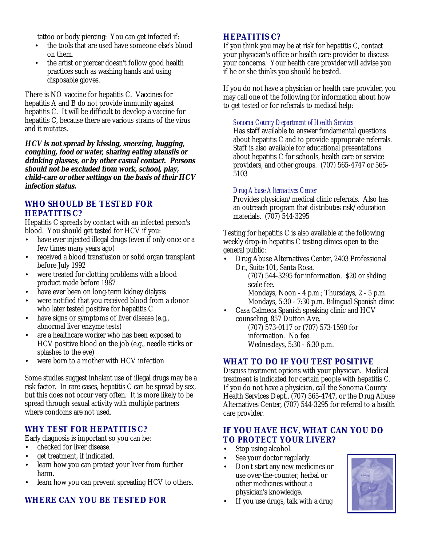tattoo or body piercing: You can get infected if:

- the tools that are used have someone else's blood on them.
- the artist or piercer doesn't follow good health practices such as washing hands and using disposable gloves.

There is NO vaccine for hepatitis C. Vaccines for hepatitis A and B do not provide immunity against hepatitis C. It will be difficult to develop a vaccine for hepatitis C, because there are various strains of the virus and it mutates.

**HCV is not spread by kissing, sneezing, hugging, coughing, food or water, sharing eating utensils or drinking glasses, or by other casual contact. Persons should not be excluded from work, school, play, child-care or other settings on the basis of their HCV infection status.**

# **WHO SHOULD BE TESTED FOR HEPATITIS C?**

Hepatitis C spreads by contact with an infected person's blood. You should get tested for HCV if you:

- have ever injected illegal drugs (even if only once or a few times many years ago)
- received a blood transfusion or solid organ transplant before July 1992
- were treated for clotting problems with a blood product made before 1987
- have ever been on long-term kidney dialysis
- were notified that you received blood from a donor who later tested positive for hepatitis C
- have signs or symptoms of liver disease (e.g., abnormal liver enzyme tests)
- are a healthcare worker who has been exposed to HCV positive blood on the job (e.g., needle sticks or splashes to the eye)
- were born to a mother with HCV infection

Some studies suggest inhalant use of illegal drugs may be a risk factor. In rare cases, hepatitis C can be spread by sex, but this does not occur very often. It is more likely to be spread through sexual activity with multiple partners where condoms are not used.

# **WHY TEST FOR HEPATITIS C?**

Early diagnosis is important so you can be:

- checked for liver disease.
- get treatment, if indicated.
- learn how you can protect your liver from further harm.
- learn how you can prevent spreading HCV to others.

# **WHERE CAN YOU BE TESTED FOR**

# **HEPATITIS C?**

If you think you may be at risk for hepatitis C, contact your physician's office or health care provider to discuss your concerns. Your health care provider will advise you if he or she thinks you should be tested.

If you do not have a physician or health care provider, you may call one of the following for information about how to get tested or for referrals to medical help:

#### *Sonoma County Department of Health Services*

Has staff available to answer fundamental questions about hepatitis C and to provide appropriate referrals. Staff is also available for educational presentations about hepatitis C for schools, health care or service providers, and other groups. (707) 565-4747 or 565- 5103

#### *Drug Abuse Alternatives Center*

Provides physician/medical clinic referrals. Also has an outreach program that distributes risk/education materials. (707) 544-3295

Testing for hepatitis C is also available at the following weekly drop-in hepatitis C testing clinics open to the general public:

• Drug Abuse Alternatives Center, 2403 Professional Dr., Suite 101, Santa Rosa.

> (707) 544-3295 for information. \$20 or sliding scale fee.

Mondays, Noon - 4 p.m.; Thursdays, 2 - 5 p.m. Mondays, 5:30 - 7:30 p.m. Bilingual Spanish clinic

• Casa Calmeca Spanish speaking clinic and HCV counseling, 857 Dutton Ave.

(707) 573-0117 or (707) 573-1590 for information. No fee. Wednesdays, 5:30 - 6:30 p.m.

#### **WHAT TO DO IF YOU TEST POSITIVE**

Discuss treatment options with your physician. Medical treatment is indicated for certain people with hepatitis C. If you do not have a physician, call the Sonoma County Health Services Dept., (707) 565-4747, or the Drug Abuse Alternatives Center, (707) 544-3295 for referral to a health care provider.

#### **IF YOU HAVE HCV, WHAT CAN YOU DO TO PROTECT YOUR LIVER?**

- Stop using alcohol.
- See your doctor regularly.
- Don't start any new medicines or use over-the-counter, herbal or other medicines without a physician's knowledge.



If you use drugs, talk with a drug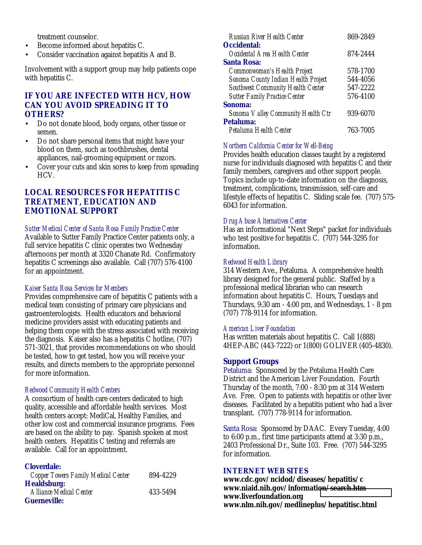treatment counselor.

- Become informed about hepatitis C.
- Consider vaccination against hepatitis A and B.

Involvement with a support group may help patients cope with hepatitis C.

# **IF YOU ARE INFECTED WITH HCV, HOW CAN YOU AVOID SPREADING IT TO OTHERS?**

- Do not donate blood, body organs, other tissue or semen.
- Do not share personal items that might have your blood on them, such as toothbrushes, dental appliances, nail-grooming equipment or razors.
- Cover your cuts and skin sores to keep from spreading HCV.

# **LOCAL RESOURCES FOR HEPATITIS C TREATMENT, EDUCATION AND EMOTIONAL SUPPORT**

#### *Sutter Medical Center of Santa Rosa Family Practice Center*

Available to Sutter Family Practice Center patients only, a full service hepatitis C clinic operates two Wednesday afternoons per month at 3320 Chanate Rd. Confirmatory hepatitis C screenings also available. Call (707) 576-4100 for an appointment.

#### *Kaiser Santa Rosa Services for Members*

Provides comprehensive care of hepatitis C patients with a medical team consisting of primary care physicians and gastroenterologists. Health educators and behavioral medicine providers assist with educating patients and helping them cope with the stress associated with receiving the diagnosis. Kaiser also has a hepatitis C hotline, (707) 571-3021, that provides recommendations on who should be tested, how to get tested, how you will receive your results, and directs members to the appropriate personnel for more information.

#### *Redwood Community Health Centers*

A consortium of health care centers dedicated to high quality, accessible and affordable health services. Most health centers accept: MediCal, Healthy Families, and other low cost and commercial insurance programs. Fees are based on the ability to pay. Spanish spoken at most health centers. Hepatitis C testing and referrals are available. Call for an appointment.

#### **Cloverdale:**

| <b>Copper Towers Family Medical Center</b>           | 894-4229 |
|------------------------------------------------------|----------|
| <b>Healdsburg:</b><br><b>Alliance Medical Center</b> | 433-5494 |
| <b>Guerneville:</b>                                  |          |

| Russian River Health Center              | 869-2849 |
|------------------------------------------|----------|
| <b>Occidental:</b>                       |          |
| Occidental Area Health Center            | 874-2444 |
| <b>Santa Rosa:</b>                       |          |
| Commonwoman's Health Project             | 578-1700 |
| Sonoma County Indian Health Project      | 544-4056 |
| <b>Southwest Community Health Center</b> | 547-2222 |
| <b>Sutter Family Practice Center</b>     | 576-4100 |
| Sonoma:                                  |          |
| Sonoma Valley Community Health Ctr       | 939-6070 |
| Petaluma:                                |          |
| Petaluma Health Center                   | 763-7005 |

#### *Northern California Center for Well-Being*

Provides health education classes taught by a registered nurse for individuals diagnosed with hepatitis C and their family members, caregivers and other support people. Topics include up-to-date information on the diagnosis, treatment, complications, transmission, self-care and lifestyle effects of hepatitis C. Sliding scale fee. (707) 575- 6043 for information.

#### *Drug Abuse Alternatives Center*

Has an informational "Next Steps" packet for individuals who test positive for hepatitis C. (707) 544-3295 for information.

#### *Redwood Health Library*

314 Western Ave., Petaluma. A comprehensive health library designed for the general public. Staffed by a professional medical librarian who can research information about hepatitis C. Hours, Tuesdays and Thursdays, 9:30 am - 4:00 pm, and Wednesdays, 1 - 8 pm (707) 778-9114 for information.

#### *American Liver Foundation*

Has written materials about hepatitis C. Call 1(888) 4HEP-ABC (443-7222) or 1(800) GOLIVER (405-4830).

#### **Support Groups**

Petaluma: Sponsored by the Petaluma Health Care District and the American Liver Foundation. Fourth Thursday of the month, 7:00 - 8:30 pm at 314 Western Ave. Free. Open to patients with hepatitis or other liver diseases. Facilitated by a hepatitis patient who had a liver transplant. (707) 778-9114 for information.

Santa Rosa: Sponsored by DAAC. Every Tuesday, 4:00 to 6:00 p.m., first time participants attend at 3:30 p.m., 2403 Professional Dr., Suite 103. Free. (707) 544-3295 for information.

#### **INTERNET WEB SITES**

**www.cdc.gov/ncidod/diseases/hepatitis/c www.niaid.nih.gov/informati[on/search.htm](http://www.cdc.gov/ncidod/diseases/) www.liverfoundation.org www.nlm.nih.gov/medlineplus/hepatitisc.html**